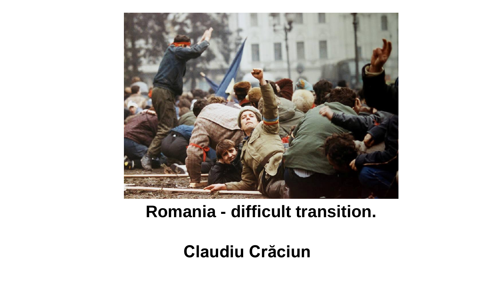

### **Romania - difficult transition.**

### **Claudiu Crăciun**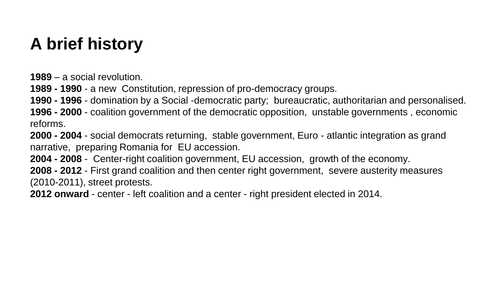## **A brief history**

**1989** – a social revolution.

**1989 - 1990** - a new Constitution, repression of pro-democracy groups.

**1990 - 1996** - domination by a Social -democratic party; bureaucratic, authoritarian and personalised.

**1996 - 2000** - coalition government of the democratic opposition, unstable governments , economic reforms.

**2000 - 2004** - social democrats returning, stable government, Euro - atlantic integration as grand narrative, preparing Romania for EU accession.

**2004 - 2008** - Center-right coalition government, EU accession, growth of the economy.

**2008 - 2012** - First grand coalition and then center right government, severe austerity measures (2010-2011), street protests.

**2012 onward** - center - left coalition and a center - right president elected in 2014.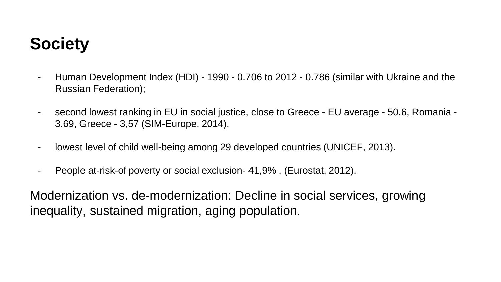# **Society**

- Human Development Index (HDI) 1990 0.706 to 2012 0.786 (similar with Ukraine and the Russian Federation);
- second lowest ranking in EU in social justice, close to Greece EU average 50.6, Romania 3.69, Greece - 3,57 (SIM-Europe, 2014).
- lowest level of child well-being among 29 developed countries (UNICEF, 2013).
- People at-risk-of poverty or social exclusion- 41,9% , (Eurostat, 2012).

Modernization vs. de-modernization: Decline in social services, growing inequality, sustained migration, aging population.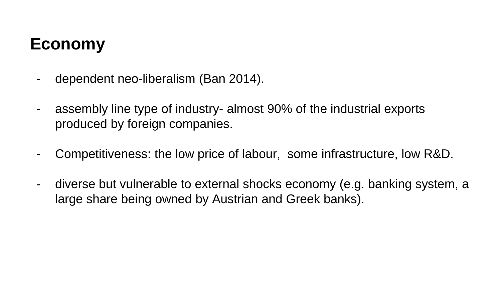# **Economy**

- dependent neo-liberalism (Ban 2014).
- assembly line type of industry- almost 90% of the industrial exports produced by foreign companies.
- Competitiveness: the low price of labour, some infrastructure, low R&D.
- diverse but vulnerable to external shocks economy (e.g. banking system, a large share being owned by Austrian and Greek banks).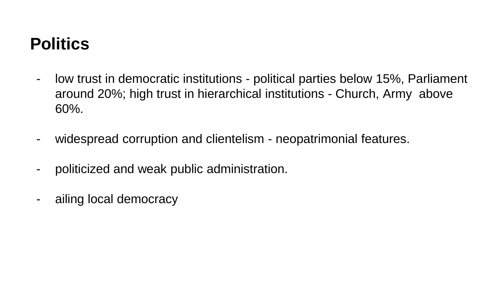## **Politics**

- low trust in democratic institutions political parties below 15%, Parliament around 20%; high trust in hierarchical institutions - Church, Army above 60%.
- widespread corruption and clientelism neopatrimonial features.
- politicized and weak public administration.
- ailing local democracy